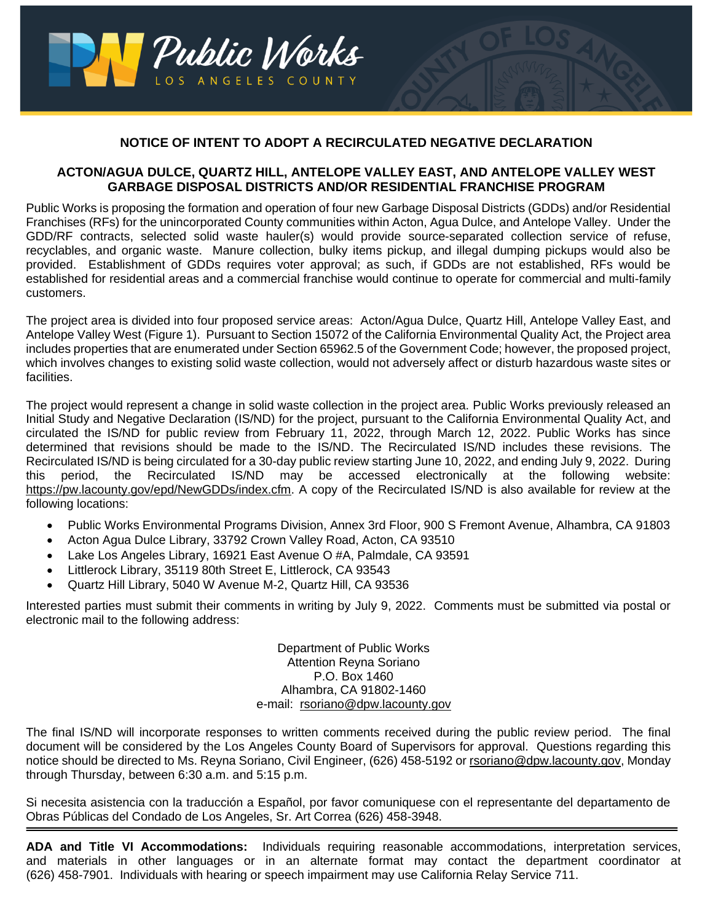

## **NOTICE OF INTENT TO ADOPT A RECIRCULATED NEGATIVE DECLARATION**

## **ACTON/AGUA DULCE, QUARTZ HILL, ANTELOPE VALLEY EAST, AND ANTELOPE VALLEY WEST GARBAGE DISPOSAL DISTRICTS AND/OR RESIDENTIAL FRANCHISE PROGRAM**

Public Works is proposing the formation and operation of four new Garbage Disposal Districts (GDDs) and/or Residential Franchises (RFs) for the unincorporated County communities within Acton, Agua Dulce, and Antelope Valley. Under the GDD/RF contracts, selected solid waste hauler(s) would provide source-separated collection service of refuse, recyclables, and organic waste. Manure collection, bulky items pickup, and illegal dumping pickups would also be provided. Establishment of GDDs requires voter approval; as such, if GDDs are not established, RFs would be established for residential areas and a commercial franchise would continue to operate for commercial and multi-family customers.

The project area is divided into four proposed service areas: Acton/Agua Dulce, Quartz Hill, Antelope Valley East, and Antelope Valley West (Figure 1). Pursuant to Section 15072 of the California Environmental Quality Act, the Project area includes properties that are enumerated under Section 65962.5 of the Government Code; however, the proposed project, which involves changes to existing solid waste collection, would not adversely affect or disturb hazardous waste sites or facilities.

The project would represent a change in solid waste collection in the project area. Public Works previously released an Initial Study and Negative Declaration (IS/ND) for the project, pursuant to the California Environmental Quality Act, and circulated the IS/ND for public review from February 11, 2022, through March 12, 2022. Public Works has since determined that revisions should be made to the IS/ND. The Recirculated IS/ND includes these revisions. The Recirculated IS/ND is being circulated for a 30-day public review starting June 10, 2022, and ending July 9, 2022. During this period, the Recirculated IS/ND may be accessed electronically at the following website: [https://pw.lacounty.gov/epd/NewGDDs/index.cfm.](https://pw.lacounty.gov/epd/NewGDDs/index.cfm) A copy of the Recirculated IS/ND is also available for review at the following locations:

- Public Works Environmental Programs Division, Annex 3rd Floor, 900 S Fremont Avenue, Alhambra, CA 91803
- Acton Agua Dulce Library, 33792 Crown Valley Road, Acton, CA 93510
- Lake Los Angeles Library, 16921 East Avenue O #A, Palmdale, CA 93591
- Littlerock Library, 35119 80th Street E, Littlerock, CA 93543
- Quartz Hill Library, 5040 W Avenue M-2, Quartz Hill, CA 93536

Interested parties must submit their comments in writing by July 9, 2022. Comments must be submitted via postal or electronic mail to the following address:

> Department of Public Works Attention Reyna Soriano P.O. Box 1460 Alhambra, CA 91802-1460 e-mail: rsoriano@dpw.lacounty.gov

The final IS/ND will incorporate responses to written comments received during the public review period. The final document will be considered by the Los Angeles County Board of Supervisors for approval. Questions regarding this notice should be directed to Ms. Reyna Soriano, Civil Engineer, (626) 458-5192 or rsoriano@dpw.lacounty.gov, Monday through Thursday, between 6:30 a.m. and 5:15 p.m.

Si necesita asistencia con la traducción a Español, por favor comuniquese con el representante del departamento de Obras Públicas del Condado de Los Angeles, Sr. Art Correa (626) 458-3948.

**ADA and Title VI Accommodations:** Individuals requiring reasonable accommodations, interpretation services, and materials in other languages or in an alternate format may contact the department coordinator at (626) 458-7901. Individuals with hearing or speech impairment may use California Relay Service 711.